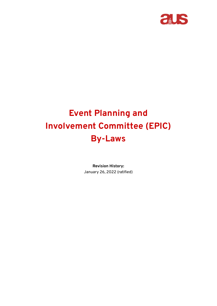

# **Event Planning and Involvement Committee (EPIC) By-Laws**

**Revision History:** January 26, 2022 (ratified)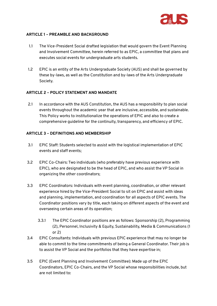

## **ARTICLE 1 – PREAMBLE AND BACKGROUND**

- 1.1 The Vice-President Social drafted legislation that would govern the Event Planning and Involvement Committee, herein referred to as EPIC, a committee that plans and executes social events for undergraduate arts students.
- 1.2 EPIC is an entity of the Arts Undergraduate Society (AUS) and shall be governed by these by-laws, as well as the Constitution and by-laws of the Arts Undergraduate Society.

## **ARTICLE 2 – POLICY STATEMENT AND MANDATE**

2.1 In accordance with the AUS Constitution, the AUS has a responsibility to plan social events throughout the academic year that are inclusive, accessible, and sustainable. This Policy works to institutionalize the operations of EPIC and also to create a comprehensive guideline for the continuity, transparency, and efficiency of EPIC.

## **ARTICLE 3 – DEFINITIONS AND MEMBERSHIP**

- 3.1 EPIC Staff: Students selected to assist with the logistical implementation of EPIC events and staff events;
- 3.2 EPIC Co-Chairs: Two individuals (who preferably have previous experience with EPIC), who are designated to be the head of EPIC, and who assist the VP Social in organizing the other coordinators;
- 3.3 EPIC Coordinators: Individuals with event planning, coordination, or other relevant experience hired by the Vice-President Social to sit on EPIC and assist with ideas and planning, implementation, and coordination for all aspects of EPIC events. The Coordinator positions vary by title, each taking on different aspects of the event and overseeing certain areas of its operation;
	- 3.3.1 The EPIC Coordinator positions are as follows: Sponsorship (2), Programming (2), Personnel, Inclusivity & Equity, Sustainability, Media & Communications (1 or 2)
- 3.4 EPIC Consultants: Individuals with previous EPIC experience that may no longer be able to commit to the time commitments of being a General Coordinator. Their job is to assist the VP Social and the portfolios that they have expertise in;
- 3.5 EPIC (Event Planning and Involvement Committee): Made up of the EPIC Coordinators, EPIC Co-Chairs, and the VP Social whose responsibilities include, but are not limited to: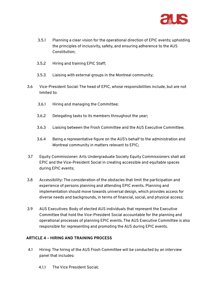

- 3.5.1 Planning a clear vision for the operational direction of EPIC events; upholding the principles of inclusivity, safety, and ensuring adherence to the AUS Constitution;
- 3.5.2 Hiring and training EPIC Staff;
- 3.5.3 Liaising with external groups in the Montreal community;
- 3.6 Vice-President Social: The head of EPIC, whose responsibilities include, but are not limited to:
	- 3.6.1 Hiring and managing the Committee;
	- 3.6.2 Delegating tasks to its members throughout the year;
	- 3.6.3 Liaising between the Frosh Committee and the AUS Executive Committee;
	- 3.6.4 Being a representative figure on the AUS's behalf to the administration and Montreal community in matters relevant to EPIC;
- 3.7 Equity Commissioner: Arts Undergraduate Society Equity Commissioners shall aid EPIC and the Vice-President Social in creating accessible and equitable spaces during EPIC events;
- 3.8 Accessibility: The consideration of the obstacles that limit the participation and experience of persons planning and attending EPIC events. Planning and implementation should move towards universal design, which provides access for diverse needs and backgrounds, in terms of financial, social, and physical access;
- 3.9 AUS Executives: Body of elected AUS individuals that represent the Executive Committee that hold the Vice-President Social accountable for the planning and operational processes of planning EPIC events. The AUS Executive Committee is also responsible for representing and promoting the AUS during EPIC events.

#### **ARTICLE 4 – HIRING AND TRAINING PROCESS**

- 4.1 Hiring: The hiring of the AUS Frosh Committee will be conducted by an interview panel that includes:
	- 4.1.1 The Vice President Social;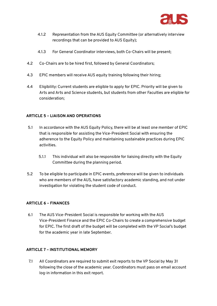

- 4.1.2 Representation from the AUS Equity Committee (or alternatively interview recordings that can be provided to AUS Equity);
- 4.1.3 For General Coordinator interviews, both Co-Chairs will be present;
- 4.2 Co-Chairs are to be hired first, followed by General Coordinators;
- 4.3 EPIC members will receive AUS equity training following their hiring;
- 4.4 Eligibility: Current students are eligible to apply for EPIC. Priority will be given to Arts and Arts and Science students, but students from other Faculties are eligible for consideration;

## **ARTICLE 5 – LIAISON AND OPERATIONS**

- 5.1 In accordance with the AUS Equity Policy, there will be at least one member of EPIC that is responsible for assisting the Vice-President Social with ensuring the adherence to the Equity Policy and maintaining sustainable practices during EPIC activities.
	- 5.1.1 This individual will also be responsible for liaising directly with the Equity Committee during the planning period.
- 5.2 To be eligible to participate in EPIC events, preference will be given to individuals who are members of the AUS, have satisfactory academic standing, and not under investigation for violating the student code of conduct.

#### **ARTICLE 6 – FINANCES**

6.1 The AUS Vice-President Social is responsible for working with the AUS Vice-President Finance and the EPIC Co-Chairs to create a comprehensive budget for EPIC. The first draft of the budget will be completed with the VP Social's budget for the academic year in late September.

#### **ARTICLE 7 – INSTITUTIONAL MEMORY**

7.1 All Coordinators are required to submit exit reports to the VP Social by May 31 following the close of the academic year. Coordinators must pass on email account log-in information in this exit report.